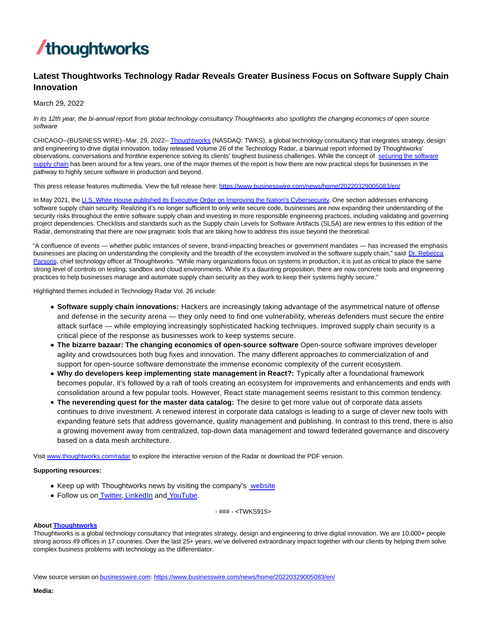

## **Latest Thoughtworks Technology Radar Reveals Greater Business Focus on Software Supply Chain Innovation**

March 29, 2022

In its 12th year, the bi-annual report from global technology consultancy Thoughtworks also spotlights the changing economics of open source software

CHICAGO--(BUSINESS WIRE)--Mar. 29, 2022-[- Thoughtworks \(](https://cts.businesswire.com/ct/CT?id=smartlink&url=http%3A%2F%2Fwww.thoughtworks.com%2F&esheet=52623727&newsitemid=20220329005083&lan=en-US&anchor=Thoughtworks&index=1&md5=6372600e54cefecb39ba626500977506)NASDAQ: TWKS), a global technology consultancy that integrates strategy, design and engineering to drive digital innovation, today released Volume 26 of the Technology Radar, a biannual report informed by Thoughtworks' observations, conversations and frontline experience solving its clients' toughest business challenges. While the concept of [securing the software](https://cts.businesswire.com/ct/CT?id=smartlink&url=https%3A%2F%2Fwww.thoughtworks.com%2Finsights%2Fpodcasts%2Ftechnology-podcasts%2Fsecuring-software-supply-chain&esheet=52623727&newsitemid=20220329005083&lan=en-US&anchor=securing+the+software+supply+chain&index=2&md5=3fd4f9d4ccffbfd830e169e0408edd24) supply chain has been around for a few years, one of the major themes of the report is how there are now practical steps for businesses in the pathway to highly secure software in production and beyond.

This press release features multimedia. View the full release here:<https://www.businesswire.com/news/home/20220329005083/en/>

In May 2021, the U.S. [White House published its Executive Order on Improving the Nation's Cybersecurity.](https://cts.businesswire.com/ct/CT?id=smartlink&url=https%3A%2F%2Fwww.whitehouse.gov%2Fbriefing-room%2Fpresidential-actions%2F2021%2F05%2F12%2Fexecutive-order-on-improving-the-nations-cybersecurity%2F&esheet=52623727&newsitemid=20220329005083&lan=en-US&anchor=U.S.+White+House+published+its+Executive+Order+on+Improving+the+Nation%27s+Cybersecurity&index=3&md5=5bb5f45c163ac16ee05ebafee12a0327) One section addresses enhancing software supply chain security. Realizing it's no longer sufficient to only write secure code, businesses are now expanding their understanding of the security risks throughout the entire software supply chain and investing in more responsible engineering practices, including validating and governing project dependencies. Checklists and standards such as the Supply chain Levels for Software Artifacts (SLSA) are new entries to this edition of the Radar, demonstrating that there are now pragmatic tools that are taking how to address this issue beyond the theoretical.

"A confluence of events — whether public instances of severe, brand-impacting breaches or government mandates — has increased the emphasis businesses are placing on understanding the complexity and the breadth of the ecosystem involved in the software supply chain," said [Dr. Rebecca](https://cts.businesswire.com/ct/CT?id=smartlink&url=https%3A%2F%2Fwww.thoughtworks.com%2Fprofiles%2Frebecca-parsons%3Futm_campaign%3Dtech-radar%26utm_medium%3Dpr%26utm_source%3Dprnewswire%26utm_campaign%3Dtechradar-vol22%26utm_medium%3Dpr%26utm_source%3Dprnewswire&esheet=52623727&newsitemid=20220329005083&lan=en-US&anchor=Dr.+Rebecca+Parsons&index=4&md5=7577b8921e8c7f69a28a483fdc6be5d9) Parsons, chief technology officer at Thoughtworks. "While many organizations focus on systems in production, it is just as critical to place the same strong level of controls on testing, sandbox and cloud environments. While it's a daunting proposition, there are now concrete tools and engineering practices to help businesses manage and automate supply chain security as they work to keep their systems highly secure."

Highlighted themes included in Technology Radar Vol. 26 include:

- **Software supply chain innovations:** Hackers are increasingly taking advantage of the asymmetrical nature of offense and defense in the security arena — they only need to find one vulnerability, whereas defenders must secure the entire attack surface — while employing increasingly sophisticated hacking techniques. Improved supply chain security is a critical piece of the response as businesses work to keep systems secure.
- **The bizarre bazaar: The changing economics of open-source software** Open-source software improves developer agility and crowdsources both bug fixes and innovation. The many different approaches to commercialization of and support for open-source software demonstrate the immense economic complexity of the current ecosystem.
- **Why do developers keep implementing state management in React?:** Typically after a foundational framework becomes popular, it's followed by a raft of tools creating an ecosystem for improvements and enhancements and ends with consolidation around a few popular tools. However, React state management seems resistant to this common tendency.
- **The neverending quest for the master data catalog:** The desire to get more value out of corporate data assets continues to drive investment. A renewed interest in corporate data catalogs is leading to a surge of clever new tools with expanding feature sets that address governance, quality management and publishing. In contrast to this trend, there is also a growing movement away from centralized, top-down data management and toward federated governance and discovery based on a data mesh architecture.

Visit [www.thoughtworks.com/radar t](https://cts.businesswire.com/ct/CT?id=smartlink&url=http%3A%2F%2Fwww.thoughtworks.com%2Fradar&esheet=52623727&newsitemid=20220329005083&lan=en-US&anchor=www.thoughtworks.com%2Fradar&index=5&md5=9fa93bdad1744ad7ff3ca9cefdfbfcaa)o explore the interactive version of the Radar or download the PDF version.

## **Supporting resources:**

- Keep up with Thoughtworks news by visiting the company's [website](https://cts.businesswire.com/ct/CT?id=smartlink&url=http%3A%2F%2Fwww.thoughtworks.com%2F&esheet=52623727&newsitemid=20220329005083&lan=en-US&anchor=website&index=6&md5=1408b7fa1520ec0efd210acb8a9376cc)
- Follow us o[n Twitter,](https://cts.businesswire.com/ct/CT?id=smartlink&url=https%3A%2F%2Ftwitter.com%2Fthoughtworks&esheet=52623727&newsitemid=20220329005083&lan=en-US&anchor=Twitter&index=7&md5=385909aa32b8c4cbc1035dac5e222569) [LinkedIn a](https://cts.businesswire.com/ct/CT?id=smartlink&url=https%3A%2F%2Fwww.linkedin.com%2Fcompany%2Fthoughtworks&esheet=52623727&newsitemid=20220329005083&lan=en-US&anchor=LinkedIn&index=8&md5=d9bdf2841c1379ca42dd5a9053472471)n[d YouTube.](https://cts.businesswire.com/ct/CT?id=smartlink&url=https%3A%2F%2Fwww.youtube.com%2Fuser%2FThoughtWorks&esheet=52623727&newsitemid=20220329005083&lan=en-US&anchor=YouTube&index=9&md5=c3c130b156affa12ecf623444e104bc7)

- ### - <TWKS915>

## **Abou[t Thoughtworks](https://cts.businesswire.com/ct/CT?id=smartlink&url=https%3A%2F%2Fwww.thoughtworks.com%2F%3Futm_source%3Dpress-release%26utm_medium%3Dpr%26utm_campaign%3Dempc_forrester-study_2021-05&esheet=52623727&newsitemid=20220329005083&lan=en-US&anchor=Thoughtworks&index=10&md5=d20f250914b0617a2a534cbb78b5d5d0)**

Thoughtworks is a global technology consultancy that integrates strategy, design and engineering to drive digital innovation. We are 10,000+ people strong across 49 offices in 17 countries. Over the last 25+ years, we've delivered extraordinary impact together with our clients by helping them solve complex business problems with technology as the differentiator.